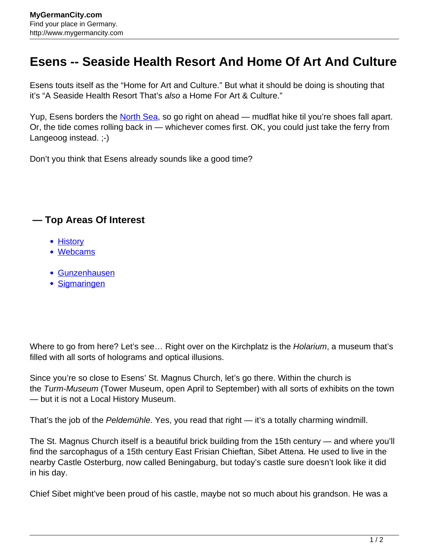## **Esens -- Seaside Health Resort And Home Of Art And Culture**

Esens touts itself as the "Home for Art and Culture." But what it should be doing is shouting that it's "A Seaside Health Resort That's also a Home For Art & Culture."

Yup, Esens borders the [North Sea](http://www.mygermancity.com/north-sea), so go right on ahead — mudflat hike til you're shoes fall apart. Or, the tide comes rolling back in — whichever comes first. OK, you could just take the ferry from Langeoog instead. ;-)

Don't you think that Esens already sounds like a good time?

## **— Top Areas Of Interest**

- **[History](http://www.mygermancity.com/leipzig-history)**
- [Webcams](http://www.mygermancity.com/neustadt-holstein-webcams)
- [Gunzenhausen](http://www.mygermancity.com/gunzenhausen)
- [Sigmaringen](http://www.mygermancity.com/sigmaringen)

Where to go from here? Let's see... Right over on the Kirchplatz is the Holarium, a museum that's filled with all sorts of holograms and optical illusions.

Since you're so close to Esens' St. Magnus Church, let's go there. Within the church is the Turm-Museum (Tower Museum, open April to September) with all sorts of exhibits on the town — but it is not a Local History Museum.

That's the job of the Peldemühle. Yes, you read that right — it's a totally charming windmill.

The St. Magnus Church itself is a beautiful brick building from the 15th century — and where you'll find the sarcophagus of a 15th century East Frisian Chieftan, Sibet Attena. He used to live in the nearby Castle Osterburg, now called Beningaburg, but today's castle sure doesn't look like it did in his day.

Chief Sibet might've been proud of his castle, maybe not so much about his grandson. He was a